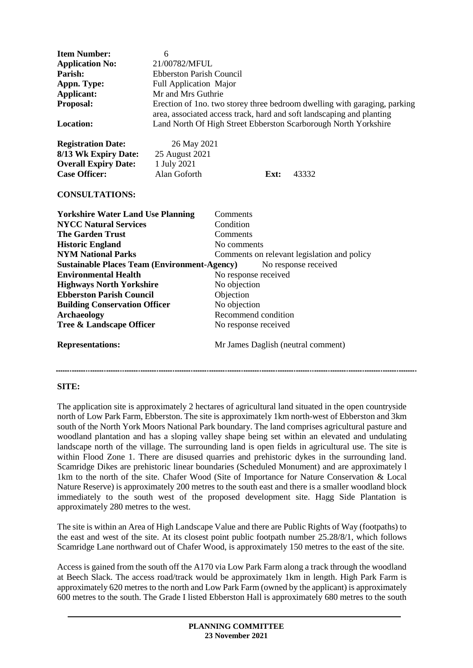| <b>Item Number:</b><br><b>Application No:</b><br>Parish:<br>Appn. Type:<br><b>Applicant:</b><br>Proposal:<br><b>Location:</b> | 6<br>21/00782/MFUL<br><b>Ebberston Parish Council</b><br><b>Full Application Major</b><br>Mr and Mrs Guthrie<br>Erection of 1 no. two storey three bedroom dwelling with garaging, parking<br>area, associated access track, hard and soft landscaping and planting<br>Land North Of High Street Ebberston Scarborough North Yorkshire |                                             |      |                                    |
|-------------------------------------------------------------------------------------------------------------------------------|----------------------------------------------------------------------------------------------------------------------------------------------------------------------------------------------------------------------------------------------------------------------------------------------------------------------------------------|---------------------------------------------|------|------------------------------------|
| <b>Registration Date:</b>                                                                                                     | 26 May 2021                                                                                                                                                                                                                                                                                                                            |                                             |      |                                    |
| 8/13 Wk Expiry Date:                                                                                                          | 25 August 2021                                                                                                                                                                                                                                                                                                                         |                                             |      |                                    |
| <b>Overall Expiry Date:</b>                                                                                                   | 1 July 2021                                                                                                                                                                                                                                                                                                                            |                                             |      |                                    |
| <b>Case Officer:</b>                                                                                                          | Alan Goforth                                                                                                                                                                                                                                                                                                                           |                                             | Ext: | 43332                              |
| <b>CONSULTATIONS:</b>                                                                                                         |                                                                                                                                                                                                                                                                                                                                        |                                             |      |                                    |
| <b>Yorkshire Water Land Use Planning</b>                                                                                      |                                                                                                                                                                                                                                                                                                                                        | Comments                                    |      |                                    |
| <b>NYCC Natural Services</b>                                                                                                  |                                                                                                                                                                                                                                                                                                                                        | Condition                                   |      |                                    |
| <b>The Garden Trust</b>                                                                                                       |                                                                                                                                                                                                                                                                                                                                        | Comments                                    |      |                                    |
| <b>Historic England</b>                                                                                                       |                                                                                                                                                                                                                                                                                                                                        | No comments                                 |      |                                    |
| <b>NYM National Parks</b>                                                                                                     |                                                                                                                                                                                                                                                                                                                                        | Comments on relevant legislation and policy |      |                                    |
| No response received<br><b>Sustainable Places Team (Environment-Agency)</b>                                                   |                                                                                                                                                                                                                                                                                                                                        |                                             |      |                                    |
| <b>Environmental Health</b>                                                                                                   |                                                                                                                                                                                                                                                                                                                                        | No response received                        |      |                                    |
| <b>Highways North Yorkshire</b>                                                                                               |                                                                                                                                                                                                                                                                                                                                        | No objection                                |      |                                    |
| <b>Ebberston Parish Council</b>                                                                                               |                                                                                                                                                                                                                                                                                                                                        | Objection                                   |      |                                    |
| <b>Building Conservation Officer</b>                                                                                          |                                                                                                                                                                                                                                                                                                                                        | No objection                                |      |                                    |
| <b>Archaeology</b>                                                                                                            |                                                                                                                                                                                                                                                                                                                                        | Recommend condition                         |      |                                    |
| Tree & Landscape Officer                                                                                                      |                                                                                                                                                                                                                                                                                                                                        | No response received                        |      |                                    |
| <b>Representations:</b>                                                                                                       |                                                                                                                                                                                                                                                                                                                                        |                                             |      | Mr James Daglish (neutral comment) |

## **SITE:**

The application site is approximately 2 hectares of agricultural land situated in the open countryside north of Low Park Farm, Ebberston. The site is approximately 1km north-west of Ebberston and 3km south of the North York Moors National Park boundary. The land comprises agricultural pasture and woodland plantation and has a sloping valley shape being set within an elevated and undulating landscape north of the village. The surrounding land is open fields in agricultural use. The site is within Flood Zone 1. There are disused quarries and prehistoric dykes in the surrounding land. Scamridge Dikes are prehistoric linear boundaries (Scheduled Monument) and are approximately l 1km to the north of the site. Chafer Wood (Site of Importance for Nature Conservation & Local Nature Reserve) is approximately 200 metres to the south east and there is a smaller woodland block immediately to the south west of the proposed development site. Hagg Side Plantation is approximately 280 metres to the west.

The site is within an Area of High Landscape Value and there are Public Rights of Way (footpaths) to the east and west of the site. At its closest point public footpath number 25.28/8/1, which follows Scamridge Lane northward out of Chafer Wood, is approximately 150 metres to the east of the site.

Access is gained from the south off the A170 via Low Park Farm along a track through the woodland at Beech Slack. The access road/track would be approximately 1km in length. High Park Farm is approximately 620 metres to the north and Low Park Farm (owned by the applicant) is approximately 600 metres to the south. The Grade I listed Ebberston Hall is approximately 680 metres to the south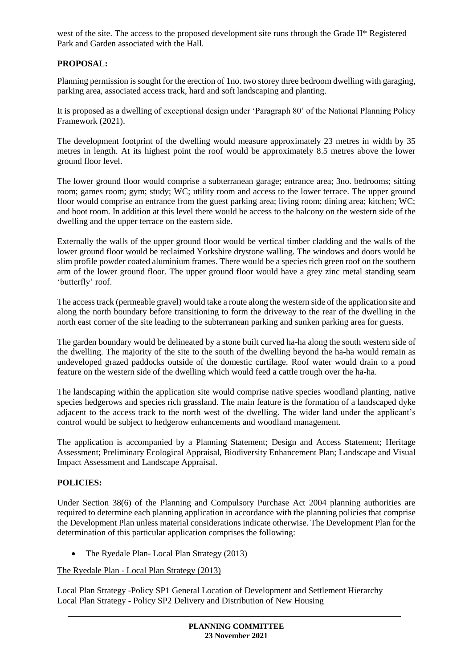west of the site. The access to the proposed development site runs through the Grade II\* Registered Park and Garden associated with the Hall.

# **PROPOSAL:**

Planning permission is sought for the erection of 1no. two storey three bedroom dwelling with garaging, parking area, associated access track, hard and soft landscaping and planting.

It is proposed as a dwelling of exceptional design under 'Paragraph 80' of the National Planning Policy Framework (2021).

The development footprint of the dwelling would measure approximately 23 metres in width by 35 metres in length. At its highest point the roof would be approximately 8.5 metres above the lower ground floor level.

The lower ground floor would comprise a subterranean garage; entrance area; 3no. bedrooms; sitting room; games room; gym; study; WC; utility room and access to the lower terrace. The upper ground floor would comprise an entrance from the guest parking area; living room; dining area; kitchen; WC; and boot room. In addition at this level there would be access to the balcony on the western side of the dwelling and the upper terrace on the eastern side.

Externally the walls of the upper ground floor would be vertical timber cladding and the walls of the lower ground floor would be reclaimed Yorkshire drystone walling. The windows and doors would be slim profile powder coated aluminium frames. There would be a species rich green roof on the southern arm of the lower ground floor. The upper ground floor would have a grey zinc metal standing seam 'butterfly' roof.

The access track (permeable gravel) would take a route along the western side of the application site and along the north boundary before transitioning to form the driveway to the rear of the dwelling in the north east corner of the site leading to the subterranean parking and sunken parking area for guests.

The garden boundary would be delineated by a stone built curved ha-ha along the south western side of the dwelling. The majority of the site to the south of the dwelling beyond the ha-ha would remain as undeveloped grazed paddocks outside of the domestic curtilage. Roof water would drain to a pond feature on the western side of the dwelling which would feed a cattle trough over the ha-ha.

The landscaping within the application site would comprise native species woodland planting, native species hedgerows and species rich grassland. The main feature is the formation of a landscaped dyke adjacent to the access track to the north west of the dwelling. The wider land under the applicant's control would be subject to hedgerow enhancements and woodland management.

The application is accompanied by a Planning Statement; Design and Access Statement; Heritage Assessment; Preliminary Ecological Appraisal, Biodiversity Enhancement Plan; Landscape and Visual Impact Assessment and Landscape Appraisal.

## **POLICIES:**

Under Section 38(6) of the Planning and Compulsory Purchase Act 2004 planning authorities are required to determine each planning application in accordance with the planning policies that comprise the Development Plan unless material considerations indicate otherwise. The Development Plan for the determination of this particular application comprises the following:

• The Ryedale Plan- Local Plan Strategy (2013)

## The Ryedale Plan - Local Plan Strategy (2013)

Local Plan Strategy -Policy SP1 General Location of Development and Settlement Hierarchy Local Plan Strategy - Policy SP2 Delivery and Distribution of New Housing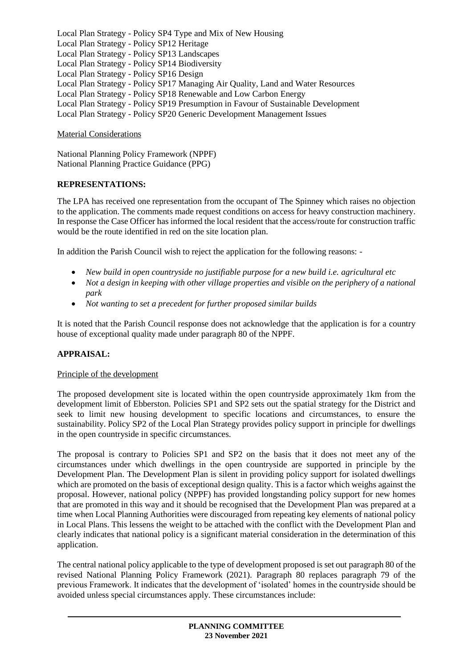Local Plan Strategy - Policy SP4 Type and Mix of New Housing Local Plan Strategy - Policy SP12 Heritage Local Plan Strategy - Policy SP13 Landscapes Local Plan Strategy - Policy SP14 Biodiversity Local Plan Strategy - Policy SP16 Design Local Plan Strategy - Policy SP17 Managing Air Quality, Land and Water Resources Local Plan Strategy - Policy SP18 Renewable and Low Carbon Energy Local Plan Strategy - Policy SP19 Presumption in Favour of Sustainable Development Local Plan Strategy - Policy SP20 Generic Development Management Issues

Material Considerations

National Planning Policy Framework (NPPF) National Planning Practice Guidance (PPG)

## **REPRESENTATIONS:**

The LPA has received one representation from the occupant of The Spinney which raises no objection to the application. The comments made request conditions on access for heavy construction machinery. In response the Case Officer has informed the local resident that the access/route for construction traffic would be the route identified in red on the site location plan.

In addition the Parish Council wish to reject the application for the following reasons: -

- *New build in open countryside no justifiable purpose for a new build i.e. agricultural etc*
- Not a design in keeping with other village properties and visible on the periphery of a national *park*
- *Not wanting to set a precedent for further proposed similar builds*

It is noted that the Parish Council response does not acknowledge that the application is for a country house of exceptional quality made under paragraph 80 of the NPPF.

# **APPRAISAL:**

## Principle of the development

The proposed development site is located within the open countryside approximately 1km from the development limit of Ebberston. Policies SP1 and SP2 sets out the spatial strategy for the District and seek to limit new housing development to specific locations and circumstances, to ensure the sustainability. Policy SP2 of the Local Plan Strategy provides policy support in principle for dwellings in the open countryside in specific circumstances.

The proposal is contrary to Policies SP1 and SP2 on the basis that it does not meet any of the circumstances under which dwellings in the open countryside are supported in principle by the Development Plan. The Development Plan is silent in providing policy support for isolated dwellings which are promoted on the basis of exceptional design quality. This is a factor which weighs against the proposal. However, national policy (NPPF) has provided longstanding policy support for new homes that are promoted in this way and it should be recognised that the Development Plan was prepared at a time when Local Planning Authorities were discouraged from repeating key elements of national policy in Local Plans. This lessens the weight to be attached with the conflict with the Development Plan and clearly indicates that national policy is a significant material consideration in the determination of this application.

The central national policy applicable to the type of development proposed is set out paragraph 80 of the revised National Planning Policy Framework (2021). Paragraph 80 replaces paragraph 79 of the previous Framework. It indicates that the development of 'isolated' homes in the countryside should be avoided unless special circumstances apply. These circumstances include: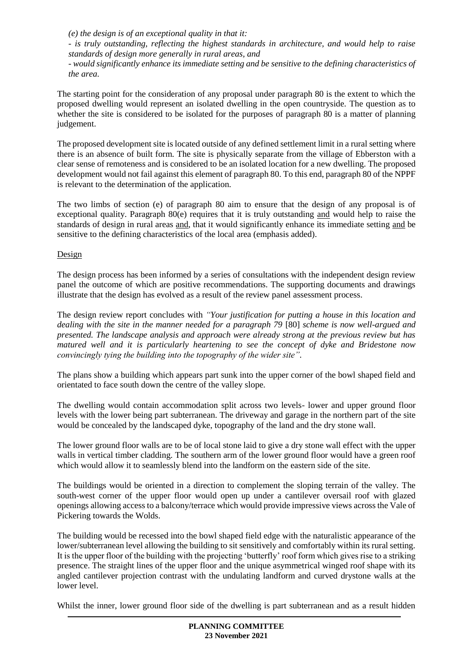*(e) the design is of an exceptional quality in that it:*

*- is truly outstanding, reflecting the highest standards in architecture, and would help to raise standards of design more generally in rural areas, and*

*- would significantly enhance its immediate setting and be sensitive to the defining characteristics of the area.*

The starting point for the consideration of any proposal under paragraph 80 is the extent to which the proposed dwelling would represent an isolated dwelling in the open countryside. The question as to whether the site is considered to be isolated for the purposes of paragraph 80 is a matter of planning judgement.

The proposed development site is located outside of any defined settlement limit in a rural setting where there is an absence of built form. The site is physically separate from the village of Ebberston with a clear sense of remoteness and is considered to be an isolated location for a new dwelling. The proposed development would not fail against this element of paragraph 80. To this end, paragraph 80 of the NPPF is relevant to the determination of the application.

The two limbs of section (e) of paragraph 80 aim to ensure that the design of any proposal is of exceptional quality. Paragraph 80(e) requires that it is truly outstanding and would help to raise the standards of design in rural areas and, that it would significantly enhance its immediate setting and be sensitive to the defining characteristics of the local area (emphasis added).

## Design

The design process has been informed by a series of consultations with the independent design review panel the outcome of which are positive recommendations. The supporting documents and drawings illustrate that the design has evolved as a result of the review panel assessment process.

The design review report concludes with *"Your justification for putting a house in this location and dealing with the site in the manner needed for a paragraph 79* [80] *scheme is now well-argued and presented. The landscape analysis and approach were already strong at the previous review but has matured well and it is particularly heartening to see the concept of dyke and Bridestone now convincingly tying the building into the topography of the wider site".*

The plans show a building which appears part sunk into the upper corner of the bowl shaped field and orientated to face south down the centre of the valley slope.

The dwelling would contain accommodation split across two levels- lower and upper ground floor levels with the lower being part subterranean. The driveway and garage in the northern part of the site would be concealed by the landscaped dyke, topography of the land and the dry stone wall.

The lower ground floor walls are to be of local stone laid to give a dry stone wall effect with the upper walls in vertical timber cladding. The southern arm of the lower ground floor would have a green roof which would allow it to seamlessly blend into the landform on the eastern side of the site.

The buildings would be oriented in a direction to complement the sloping terrain of the valley. The south-west corner of the upper floor would open up under a cantilever oversail roof with glazed openings allowing access to a balcony/terrace which would provide impressive views across the Vale of Pickering towards the Wolds.

The building would be recessed into the bowl shaped field edge with the naturalistic appearance of the lower/subterranean level allowing the building to sit sensitively and comfortably within its rural setting. It is the upper floor of the building with the projecting 'butterfly' roof form which gives rise to a striking presence. The straight lines of the upper floor and the unique asymmetrical winged roof shape with its angled cantilever projection contrast with the undulating landform and curved drystone walls at the lower level.

Whilst the inner, lower ground floor side of the dwelling is part subterranean and as a result hidden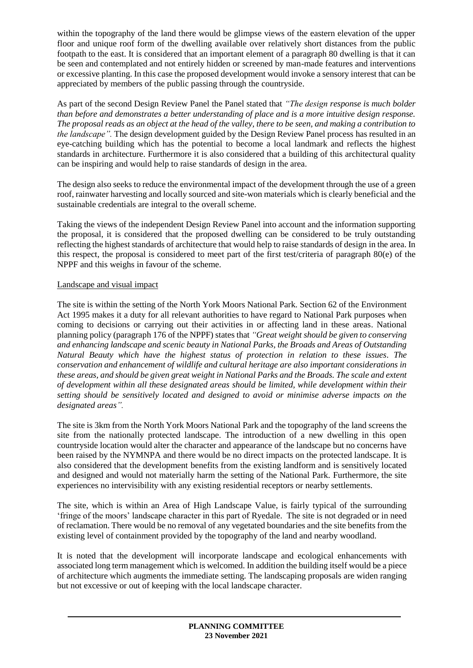within the topography of the land there would be glimpse views of the eastern elevation of the upper floor and unique roof form of the dwelling available over relatively short distances from the public footpath to the east. It is considered that an important element of a paragraph 80 dwelling is that it can be seen and contemplated and not entirely hidden or screened by man-made features and interventions or excessive planting. In this case the proposed development would invoke a sensory interest that can be appreciated by members of the public passing through the countryside.

As part of the second Design Review Panel the Panel stated that *"The design response is much bolder than before and demonstrates a better understanding of place and is a more intuitive design response. The proposal reads as an object at the head of the valley, there to be seen, and making a contribution to the landscape".* The design development guided by the Design Review Panel process has resulted in an eye-catching building which has the potential to become a local landmark and reflects the highest standards in architecture. Furthermore it is also considered that a building of this architectural quality can be inspiring and would help to raise standards of design in the area.

The design also seeks to reduce the environmental impact of the development through the use of a green roof, rainwater harvesting and locally sourced and site-won materials which is clearly beneficial and the sustainable credentials are integral to the overall scheme.

Taking the views of the independent Design Review Panel into account and the information supporting the proposal, it is considered that the proposed dwelling can be considered to be truly outstanding reflecting the highest standards of architecture that would help to raise standards of design in the area. In this respect, the proposal is considered to meet part of the first test/criteria of paragraph 80(e) of the NPPF and this weighs in favour of the scheme.

## Landscape and visual impact

The site is within the setting of the North York Moors National Park. Section 62 of the Environment Act 1995 makes it a duty for all relevant authorities to have regard to National Park purposes when coming to decisions or carrying out their activities in or affecting land in these areas. National planning policy (paragraph 176 of the NPPF) states that *"Great weight should be given to conserving and enhancing landscape and scenic beauty in National Parks, the Broads and Areas of Outstanding Natural Beauty which have the highest status of protection in relation to these issues. The conservation and enhancement of wildlife and cultural heritage are also important considerations in these areas, and should be given great weight in National Parks and the Broads. The scale and extent of development within all these designated areas should be limited, while development within their setting should be sensitively located and designed to avoid or minimise adverse impacts on the designated areas".*

The site is 3km from the North York Moors National Park and the topography of the land screens the site from the nationally protected landscape. The introduction of a new dwelling in this open countryside location would alter the character and appearance of the landscape but no concerns have been raised by the NYMNPA and there would be no direct impacts on the protected landscape. It is also considered that the development benefits from the existing landform and is sensitively located and designed and would not materially harm the setting of the National Park. Furthermore, the site experiences no intervisibility with any existing residential receptors or nearby settlements.

The site, which is within an Area of High Landscape Value, is fairly typical of the surrounding 'fringe of the moors' landscape character in this part of Ryedale. The site is not degraded or in need of reclamation. There would be no removal of any vegetated boundaries and the site benefits from the existing level of containment provided by the topography of the land and nearby woodland.

It is noted that the development will incorporate landscape and ecological enhancements with associated long term management which is welcomed. In addition the building itself would be a piece of architecture which augments the immediate setting. The landscaping proposals are widen ranging but not excessive or out of keeping with the local landscape character.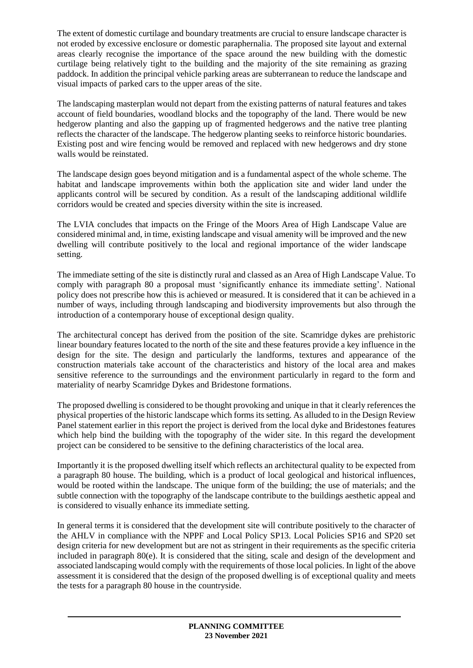The extent of domestic curtilage and boundary treatments are crucial to ensure landscape character is not eroded by excessive enclosure or domestic paraphernalia. The proposed site layout and external areas clearly recognise the importance of the space around the new building with the domestic curtilage being relatively tight to the building and the majority of the site remaining as grazing paddock. In addition the principal vehicle parking areas are subterranean to reduce the landscape and visual impacts of parked cars to the upper areas of the site.

The landscaping masterplan would not depart from the existing patterns of natural features and takes account of field boundaries, woodland blocks and the topography of the land. There would be new hedgerow planting and also the gapping up of fragmented hedgerows and the native tree planting reflects the character of the landscape. The hedgerow planting seeks to reinforce historic boundaries. Existing post and wire fencing would be removed and replaced with new hedgerows and dry stone walls would be reinstated.

The landscape design goes beyond mitigation and is a fundamental aspect of the whole scheme. The habitat and landscape improvements within both the application site and wider land under the applicants control will be secured by condition. As a result of the landscaping additional wildlife corridors would be created and species diversity within the site is increased.

The LVIA concludes that impacts on the Fringe of the Moors Area of High Landscape Value are considered minimal and, in time, existing landscape and visual amenity will be improved and the new dwelling will contribute positively to the local and regional importance of the wider landscape setting.

The immediate setting of the site is distinctly rural and classed as an Area of High Landscape Value. To comply with paragraph 80 a proposal must 'significantly enhance its immediate setting'. National policy does not prescribe how this is achieved or measured. It is considered that it can be achieved in a number of ways, including through landscaping and biodiversity improvements but also through the introduction of a contemporary house of exceptional design quality.

The architectural concept has derived from the position of the site. Scamridge dykes are prehistoric linear boundary features located to the north of the site and these features provide a key influence in the design for the site. The design and particularly the landforms, textures and appearance of the construction materials take account of the characteristics and history of the local area and makes sensitive reference to the surroundings and the environment particularly in regard to the form and materiality of nearby Scamridge Dykes and Bridestone formations.

The proposed dwelling is considered to be thought provoking and unique in that it clearly references the physical properties of the historic landscape which forms its setting. As alluded to in the Design Review Panel statement earlier in this report the project is derived from the local dyke and Bridestones features which help bind the building with the topography of the wider site. In this regard the development project can be considered to be sensitive to the defining characteristics of the local area.

Importantly it is the proposed dwelling itself which reflects an architectural quality to be expected from a paragraph 80 house. The building, which is a product of local geological and historical influences, would be rooted within the landscape. The unique form of the building; the use of materials; and the subtle connection with the topography of the landscape contribute to the buildings aesthetic appeal and is considered to visually enhance its immediate setting.

In general terms it is considered that the development site will contribute positively to the character of the AHLV in compliance with the NPPF and Local Policy SP13. Local Policies SP16 and SP20 set design criteria for new development but are not as stringent in their requirements as the specific criteria included in paragraph 80(e). It is considered that the siting, scale and design of the development and associated landscaping would comply with the requirements of those local policies. In light of the above assessment it is considered that the design of the proposed dwelling is of exceptional quality and meets the tests for a paragraph 80 house in the countryside.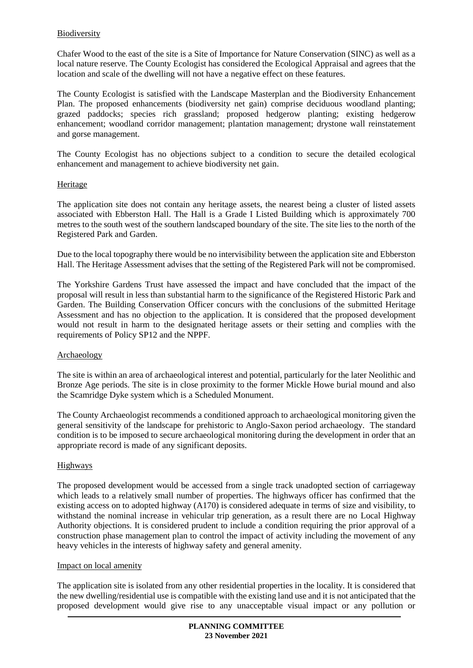## Biodiversity

Chafer Wood to the east of the site is a Site of Importance for Nature Conservation (SINC) as well as a local nature reserve. The County Ecologist has considered the Ecological Appraisal and agrees that the location and scale of the dwelling will not have a negative effect on these features.

The County Ecologist is satisfied with the Landscape Masterplan and the Biodiversity Enhancement Plan. The proposed enhancements (biodiversity net gain) comprise deciduous woodland planting; grazed paddocks; species rich grassland; proposed hedgerow planting; existing hedgerow enhancement; woodland corridor management; plantation management; drystone wall reinstatement and gorse management.

The County Ecologist has no objections subject to a condition to secure the detailed ecological enhancement and management to achieve biodiversity net gain.

#### Heritage

The application site does not contain any heritage assets, the nearest being a cluster of listed assets associated with Ebberston Hall. The Hall is a Grade I Listed Building which is approximately 700 metres to the south west of the southern landscaped boundary of the site. The site lies to the north of the Registered Park and Garden.

Due to the local topography there would be no intervisibility between the application site and Ebberston Hall. The Heritage Assessment advises that the setting of the Registered Park will not be compromised.

The Yorkshire Gardens Trust have assessed the impact and have concluded that the impact of the proposal will result in less than substantial harm to the significance of the Registered Historic Park and Garden. The Building Conservation Officer concurs with the conclusions of the submitted Heritage Assessment and has no objection to the application. It is considered that the proposed development would not result in harm to the designated heritage assets or their setting and complies with the requirements of Policy SP12 and the NPPF.

#### Archaeology

The site is within an area of archaeological interest and potential, particularly for the later Neolithic and Bronze Age periods. The site is in close proximity to the former Mickle Howe burial mound and also the Scamridge Dyke system which is a Scheduled Monument.

The County Archaeologist recommends a conditioned approach to archaeological monitoring given the general sensitivity of the landscape for prehistoric to Anglo-Saxon period archaeology. The standard condition is to be imposed to secure archaeological monitoring during the development in order that an appropriate record is made of any significant deposits.

## Highways

The proposed development would be accessed from a single track unadopted section of carriageway which leads to a relatively small number of properties. The highways officer has confirmed that the existing access on to adopted highway (A170) is considered adequate in terms of size and visibility, to withstand the nominal increase in vehicular trip generation, as a result there are no Local Highway Authority objections. It is considered prudent to include a condition requiring the prior approval of a construction phase management plan to control the impact of activity including the movement of any heavy vehicles in the interests of highway safety and general amenity.

#### Impact on local amenity

The application site is isolated from any other residential properties in the locality. It is considered that the new dwelling/residential use is compatible with the existing land use and it is not anticipated that the proposed development would give rise to any unacceptable visual impact or any pollution or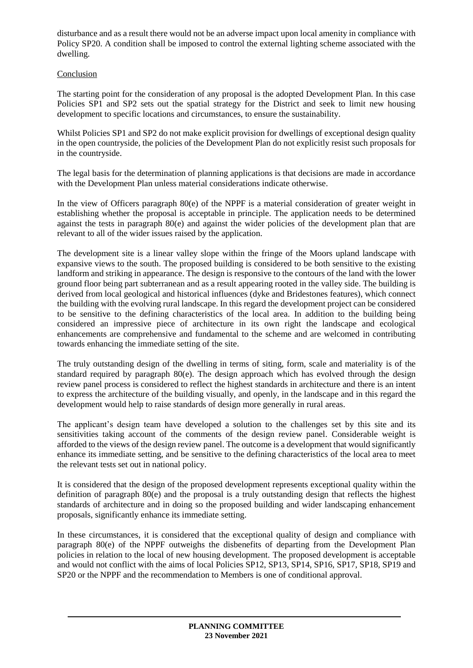disturbance and as a result there would not be an adverse impact upon local amenity in compliance with Policy SP20. A condition shall be imposed to control the external lighting scheme associated with the dwelling.

## Conclusion

The starting point for the consideration of any proposal is the adopted Development Plan. In this case Policies SP1 and SP2 sets out the spatial strategy for the District and seek to limit new housing development to specific locations and circumstances, to ensure the sustainability.

Whilst Policies SP1 and SP2 do not make explicit provision for dwellings of exceptional design quality in the open countryside, the policies of the Development Plan do not explicitly resist such proposals for in the countryside.

The legal basis for the determination of planning applications is that decisions are made in accordance with the Development Plan unless material considerations indicate otherwise.

In the view of Officers paragraph 80(e) of the NPPF is a material consideration of greater weight in establishing whether the proposal is acceptable in principle. The application needs to be determined against the tests in paragraph 80(e) and against the wider policies of the development plan that are relevant to all of the wider issues raised by the application.

The development site is a linear valley slope within the fringe of the Moors upland landscape with expansive views to the south. The proposed building is considered to be both sensitive to the existing landform and striking in appearance. The design is responsive to the contours of the land with the lower ground floor being part subterranean and as a result appearing rooted in the valley side. The building is derived from local geological and historical influences (dyke and Bridestones features), which connect the building with the evolving rural landscape. In this regard the development project can be considered to be sensitive to the defining characteristics of the local area. In addition to the building being considered an impressive piece of architecture in its own right the landscape and ecological enhancements are comprehensive and fundamental to the scheme and are welcomed in contributing towards enhancing the immediate setting of the site.

The truly outstanding design of the dwelling in terms of siting, form, scale and materiality is of the standard required by paragraph  $80(e)$ . The design approach which has evolved through the design review panel process is considered to reflect the highest standards in architecture and there is an intent to express the architecture of the building visually, and openly, in the landscape and in this regard the development would help to raise standards of design more generally in rural areas.

The applicant's design team have developed a solution to the challenges set by this site and its sensitivities taking account of the comments of the design review panel. Considerable weight is afforded to the views of the design review panel. The outcome is a development that would significantly enhance its immediate setting, and be sensitive to the defining characteristics of the local area to meet the relevant tests set out in national policy.

It is considered that the design of the proposed development represents exceptional quality within the definition of paragraph 80(e) and the proposal is a truly outstanding design that reflects the highest standards of architecture and in doing so the proposed building and wider landscaping enhancement proposals, significantly enhance its immediate setting.

In these circumstances, it is considered that the exceptional quality of design and compliance with paragraph 80(e) of the NPPF outweighs the disbenefits of departing from the Development Plan policies in relation to the local of new housing development. The proposed development is acceptable and would not conflict with the aims of local Policies SP12, SP13, SP14, SP16, SP17, SP18, SP19 and SP20 or the NPPF and the recommendation to Members is one of conditional approval.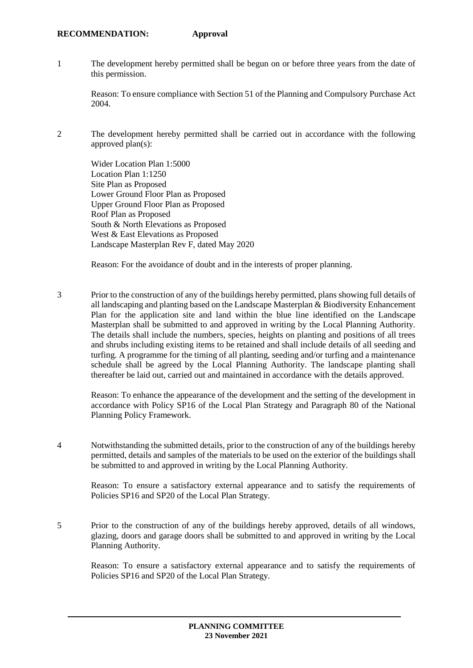#### **RECOMMENDATION: Approval**

1 The development hereby permitted shall be begun on or before three years from the date of this permission.

Reason: To ensure compliance with Section 51 of the Planning and Compulsory Purchase Act 2004.

2 The development hereby permitted shall be carried out in accordance with the following approved plan(s):

Wider Location Plan 1:5000 Location Plan 1:1250 Site Plan as Proposed Lower Ground Floor Plan as Proposed Upper Ground Floor Plan as Proposed Roof Plan as Proposed South & North Elevations as Proposed West & East Elevations as Proposed Landscape Masterplan Rev F, dated May 2020

Reason: For the avoidance of doubt and in the interests of proper planning.

3 Prior to the construction of any of the buildings hereby permitted, plans showing full details of all landscaping and planting based on the Landscape Masterplan & Biodiversity Enhancement Plan for the application site and land within the blue line identified on the Landscape Masterplan shall be submitted to and approved in writing by the Local Planning Authority. The details shall include the numbers, species, heights on planting and positions of all trees and shrubs including existing items to be retained and shall include details of all seeding and turfing. A programme for the timing of all planting, seeding and/or turfing and a maintenance schedule shall be agreed by the Local Planning Authority. The landscape planting shall thereafter be laid out, carried out and maintained in accordance with the details approved.

Reason: To enhance the appearance of the development and the setting of the development in accordance with Policy SP16 of the Local Plan Strategy and Paragraph 80 of the National Planning Policy Framework.

4 Notwithstanding the submitted details, prior to the construction of any of the buildings hereby permitted, details and samples of the materials to be used on the exterior of the buildings shall be submitted to and approved in writing by the Local Planning Authority.

Reason: To ensure a satisfactory external appearance and to satisfy the requirements of Policies SP16 and SP20 of the Local Plan Strategy.

5 Prior to the construction of any of the buildings hereby approved, details of all windows, glazing, doors and garage doors shall be submitted to and approved in writing by the Local Planning Authority.

Reason: To ensure a satisfactory external appearance and to satisfy the requirements of Policies SP16 and SP20 of the Local Plan Strategy.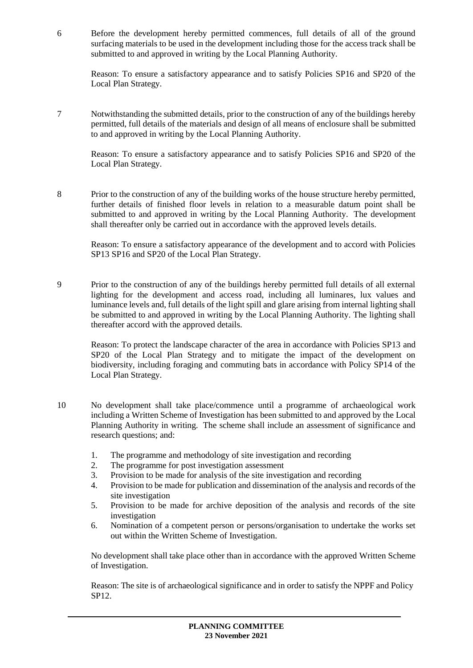6 Before the development hereby permitted commences, full details of all of the ground surfacing materials to be used in the development including those for the access track shall be submitted to and approved in writing by the Local Planning Authority.

Reason: To ensure a satisfactory appearance and to satisfy Policies SP16 and SP20 of the Local Plan Strategy.

7 Notwithstanding the submitted details, prior to the construction of any of the buildings hereby permitted, full details of the materials and design of all means of enclosure shall be submitted to and approved in writing by the Local Planning Authority.

Reason: To ensure a satisfactory appearance and to satisfy Policies SP16 and SP20 of the Local Plan Strategy.

8 Prior to the construction of any of the building works of the house structure hereby permitted, further details of finished floor levels in relation to a measurable datum point shall be submitted to and approved in writing by the Local Planning Authority. The development shall thereafter only be carried out in accordance with the approved levels details.

Reason: To ensure a satisfactory appearance of the development and to accord with Policies SP13 SP16 and SP20 of the Local Plan Strategy.

9 Prior to the construction of any of the buildings hereby permitted full details of all external lighting for the development and access road, including all luminares, lux values and luminance levels and, full details of the light spill and glare arising from internal lighting shall be submitted to and approved in writing by the Local Planning Authority. The lighting shall thereafter accord with the approved details.

Reason: To protect the landscape character of the area in accordance with Policies SP13 and SP20 of the Local Plan Strategy and to mitigate the impact of the development on biodiversity, including foraging and commuting bats in accordance with Policy SP14 of the Local Plan Strategy.

- 10 No development shall take place/commence until a programme of archaeological work including a Written Scheme of Investigation has been submitted to and approved by the Local Planning Authority in writing. The scheme shall include an assessment of significance and research questions; and:
	- 1. The programme and methodology of site investigation and recording
	- 2. The programme for post investigation assessment
	- 3. Provision to be made for analysis of the site investigation and recording
	- 4. Provision to be made for publication and dissemination of the analysis and records of the site investigation
	- 5. Provision to be made for archive deposition of the analysis and records of the site investigation
	- 6. Nomination of a competent person or persons/organisation to undertake the works set out within the Written Scheme of Investigation.

No development shall take place other than in accordance with the approved Written Scheme of Investigation.

Reason: The site is of archaeological significance and in order to satisfy the NPPF and Policy SP12.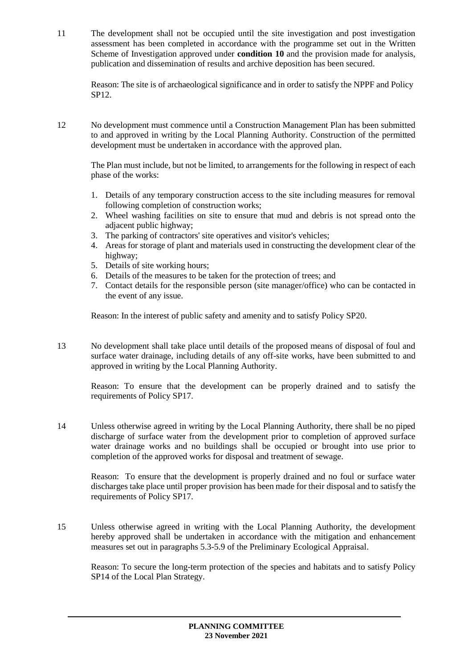11 The development shall not be occupied until the site investigation and post investigation assessment has been completed in accordance with the programme set out in the Written Scheme of Investigation approved under **condition 10** and the provision made for analysis, publication and dissemination of results and archive deposition has been secured.

Reason: The site is of archaeological significance and in order to satisfy the NPPF and Policy SP12.

12 No development must commence until a Construction Management Plan has been submitted to and approved in writing by the Local Planning Authority. Construction of the permitted development must be undertaken in accordance with the approved plan.

The Plan must include, but not be limited, to arrangements for the following in respect of each phase of the works:

- 1. Details of any temporary construction access to the site including measures for removal following completion of construction works;
- 2. Wheel washing facilities on site to ensure that mud and debris is not spread onto the adjacent public highway;
- 3. The parking of contractors' site operatives and visitor's vehicles;
- 4. Areas for storage of plant and materials used in constructing the development clear of the highway;
- 5. Details of site working hours;
- 6. Details of the measures to be taken for the protection of trees; and
- 7. Contact details for the responsible person (site manager/office) who can be contacted in the event of any issue.

Reason: In the interest of public safety and amenity and to satisfy Policy SP20.

13 No development shall take place until details of the proposed means of disposal of foul and surface water drainage, including details of any off-site works, have been submitted to and approved in writing by the Local Planning Authority.

Reason: To ensure that the development can be properly drained and to satisfy the requirements of Policy SP17.

14 Unless otherwise agreed in writing by the Local Planning Authority, there shall be no piped discharge of surface water from the development prior to completion of approved surface water drainage works and no buildings shall be occupied or brought into use prior to completion of the approved works for disposal and treatment of sewage.

Reason: To ensure that the development is properly drained and no foul or surface water discharges take place until proper provision has been made for their disposal and to satisfy the requirements of Policy SP17.

15 Unless otherwise agreed in writing with the Local Planning Authority, the development hereby approved shall be undertaken in accordance with the mitigation and enhancement measures set out in paragraphs 5.3-5.9 of the Preliminary Ecological Appraisal.

Reason: To secure the long-term protection of the species and habitats and to satisfy Policy SP14 of the Local Plan Strategy.